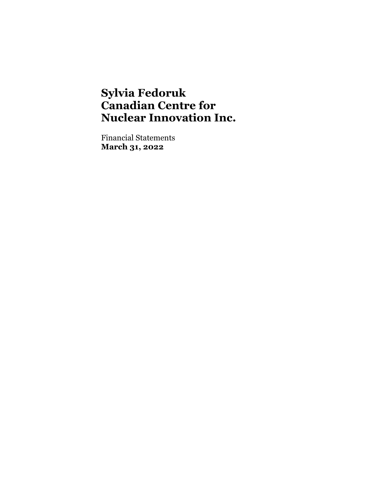Financial Statements March 31, 2022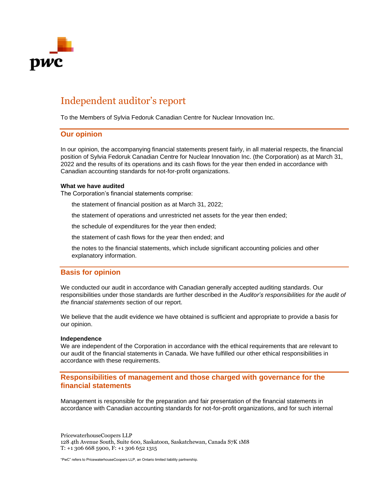

# Independent auditor's report

To the Members of Sylvia Fedoruk Canadian Centre for Nuclear Innovation Inc.

#### **Our opinion**

In our opinion, the accompanying financial statements present fairly, in all material respects, the financial position of Sylvia Fedoruk Canadian Centre for Nuclear Innovation Inc. (the Corporation) as at March 31, 2022 and the results of its operations and its cash flows for the year then ended in accordance with Canadian accounting standards for not-for-profit organizations.

#### **What we have audited**

The Corporation's financial statements comprise:

- the statement of financial position as at March 31, 2022; ï.
- the statement of operations and unrestricted net assets for the year then ended; ï.
- the schedule of expenditures for the year then ended; ï.
- $\tilde{\mathbf{r}}$  . the statement of cash flows for the year then ended; and
- the notes to the financial statements, which include significant accounting policies and other T. explanatory information.

#### **Basis for opinion**

We conducted our audit in accordance with Canadian generally accepted auditing standards. Our responsibilities under those standards are further described in the Auditor's *responsibilities for the audit of the financial statements* section of our report.

We believe that the audit evidence we have obtained is sufficient and appropriate to provide a basis for our opinion.

#### **Independence**

We are independent of the Corporation in accordance with the ethical requirements that are relevant to our audit of the financial statements in Canada. We have fulfilled our other ethical responsibilities in accordance with these requirements.

### **Responsibilities of management and those charged with governance for the financial statements**

Management is responsible for the preparation and fair presentation of the financial statements in accordance with Canadian accounting standards for not-for-profit organizations, and for such internal

PricewaterhouseCoopers LLP 128 4th Avenue South, Suite 600, Saskatoon, Saskatchewan, Canada S7K 1M8 T: +1 306 668 5900, F: +1 306 652 1315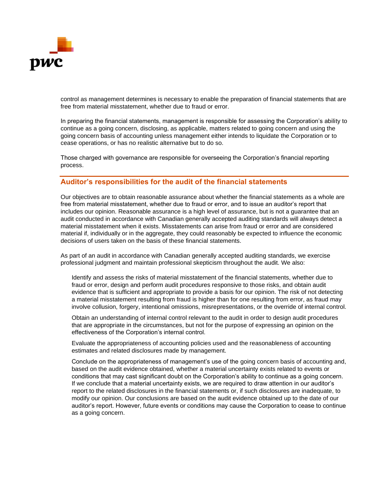

control as management determines is necessary to enable the preparation of financial statements that are free from material misstatement, whether due to fraud or error.

In preparing the financial statements, management is responsible for assessing the Corporation's ability to continue as a going concern, disclosing, as applicable, matters related to going concern and using the going concern basis of accounting unless management either intends to liquidate the Corporation or to cease operations, or has no realistic alternative but to do so.

Those charged with governance are responsible for overseeing the Corporation's financial reporting process.

### Auditor's responsibilities for the audit of the financial statements

Our objectives are to obtain reasonable assurance about whether the financial statements as a whole are free from material misstatement, whether due to fraud or error, and to issue an auditor's report that includes our opinion. Reasonable assurance is a high level of assurance, but is not a guarantee that an audit conducted in accordance with Canadian generally accepted auditing standards will always detect a material misstatement when it exists. Misstatements can arise from fraud or error and are considered material if, individually or in the aggregate, they could reasonably be expected to influence the economic decisions of users taken on the basis of these financial statements.

As part of an audit in accordance with Canadian generally accepted auditing standards, we exercise professional judgment and maintain professional skepticism throughout the audit. We also:

- $\tilde{\mathbf{r}}$  . Identify and assess the risks of material misstatement of the financial statements, whether due to fraud or error, design and perform audit procedures responsive to those risks, and obtain audit evidence that is sufficient and appropriate to provide a basis for our opinion. The risk of not detecting a material misstatement resulting from fraud is higher than for one resulting from error, as fraud may involve collusion, forgery, intentional omissions, misrepresentations, or the override of internal control.
- $\ddot{r}$ Obtain an understanding of internal control relevant to the audit in order to design audit procedures that are appropriate in the circumstances, but not for the purpose of expressing an opinion on the effectiveness of the Corporation's internal control.
- $\ddot{L}$ Evaluate the appropriateness of accounting policies used and the reasonableness of accounting estimates and related disclosures made by management.
- ï. Conclude on the appropriateness of management's use of the going concern basis of accounting and, based on the audit evidence obtained, whether a material uncertainty exists related to events or conditions that may cast significant doubt on the Corporation's ability to continue as a going concern. If we conclude that a material uncertainty exists, we are required to draw attention in our auditor's report to the related disclosures in the financial statements or, if such disclosures are inadequate, to modify our opinion. Our conclusions are based on the audit evidence obtained up to the date of our auditor's report. However, future events or conditions may cause the Corporation to cease to continue as a going concern.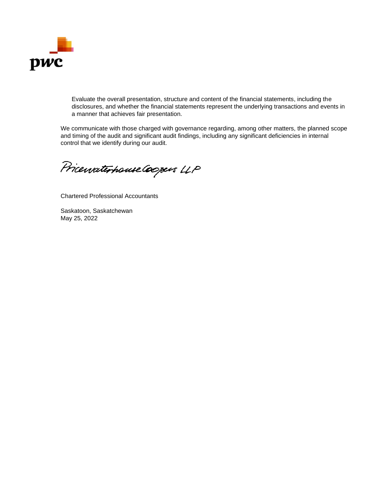

Evaluate the overall presentation, structure and content of the financial statements, including the  $\ddot{I}$ disclosures, and whether the financial statements represent the underlying transactions and events in a manner that achieves fair presentation.

We communicate with those charged with governance regarding, among other matters, the planned scope and timing of the audit and significant audit findings, including any significant deficiencies in internal control that we identify during our audit.

Pricewaterhouse Coopers LLP

Chartered Professional Accountants

Saskatoon, Saskatchewan May 25, 2022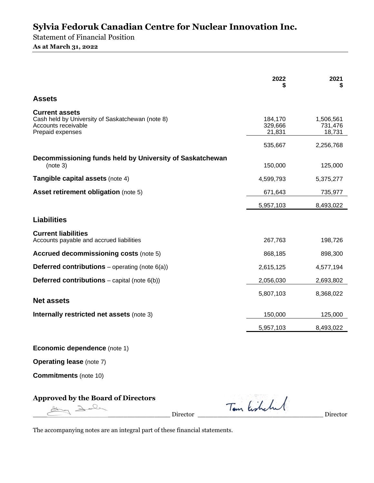Statement of Financial Position As at March 31, 2022

|                                                                                                                      | 2022                         | 2021<br>S                      |
|----------------------------------------------------------------------------------------------------------------------|------------------------------|--------------------------------|
| <b>Assets</b>                                                                                                        |                              |                                |
| <b>Current assets</b><br>Cash held by University of Saskatchewan (note 8)<br>Accounts receivable<br>Prepaid expenses | 184,170<br>329,666<br>21,831 | 1,506,561<br>731,476<br>18,731 |
|                                                                                                                      | 535,667                      | 2,256,768                      |
| Decommissioning funds held by University of Saskatchewan<br>(note 3)                                                 | 150,000                      | 125,000                        |
| Tangible capital assets (note 4)                                                                                     | 4,599,793                    | 5,375,277                      |
| <b>Asset retirement obligation (note 5)</b>                                                                          | 671,643                      | 735,977                        |
|                                                                                                                      | 5,957,103                    | 8,493,022                      |
| <b>Liabilities</b>                                                                                                   |                              |                                |
| <b>Current liabilities</b><br>Accounts payable and accrued liabilities                                               | 267,763                      | 198,726                        |
| Accrued decommissioning costs (note 5)                                                                               | 868,185                      | 898,300                        |
| <b>Deferred contributions</b> – operating (note $6(a)$ )                                                             | 2,615,125                    | 4,577,194                      |
| <b>Deferred contributions</b> – capital (note $6(b)$ )                                                               | 2,056,030                    | 2,693,802                      |
| <b>Net assets</b>                                                                                                    | 5,807,103                    | 8,368,022                      |
| <b>Internally restricted net assets (note 3)</b>                                                                     | 150,000                      | 125,000                        |
|                                                                                                                      | 5,957,103                    | 8,493,022                      |

**Economic dependence** (note 1)

**Operating lease** (note 7)

**Commitments** (note 10)

# Approved by the Board of Directors

Director Tom kishelul Director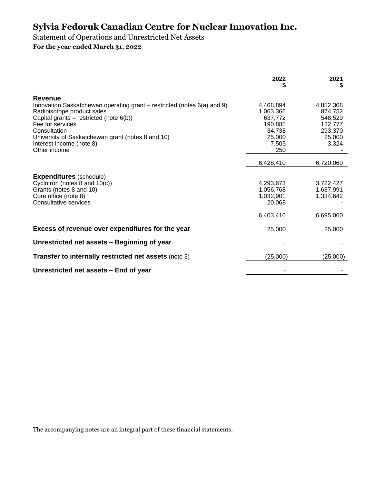Statement of Operations and Unrestricted Net Assets

For the year ended March 31, 2022

|                                                                                                                                                                                                                                                                                                            | 2022                                                                             | 2021<br>S                                                                |
|------------------------------------------------------------------------------------------------------------------------------------------------------------------------------------------------------------------------------------------------------------------------------------------------------------|----------------------------------------------------------------------------------|--------------------------------------------------------------------------|
| <b>Revenue</b><br>Innovation Saskatchewan operating grant – restricted (notes 6(a) and 9)<br>Radioisotope product sales<br>Capital grants – restricted (note $6(b)$ )<br>Fee for services<br>Consultation<br>University of Saskatchewan grant (notes 8 and 10)<br>Interest income (note 8)<br>Other income | 4,468,894<br>1,063,366<br>637,772<br>190,885<br>34,738<br>25,000<br>7,505<br>250 | 4,852,308<br>874,752<br>548,529<br>122,777<br>293,370<br>25,000<br>3,324 |
|                                                                                                                                                                                                                                                                                                            | 6,428,410                                                                        | 6,720,060                                                                |
| <b>Expenditures</b> (schedule)<br>Cyclotron (notes 8 and 10(c))<br>Grants (notes 8 and 10)<br>Core office (note 8)<br>Consultative services                                                                                                                                                                | 4,293,673<br>1,056,768<br>1,032,901<br>20,068                                    | 3,722,427<br>1,637,991<br>1,334,642                                      |
|                                                                                                                                                                                                                                                                                                            | 6,403,410                                                                        | 6,695,060                                                                |
| Excess of revenue over expenditures for the year                                                                                                                                                                                                                                                           | 25,000                                                                           | 25,000                                                                   |
| Unrestricted net assets – Beginning of year                                                                                                                                                                                                                                                                |                                                                                  |                                                                          |
| Transfer to internally restricted net assets (note 3)                                                                                                                                                                                                                                                      | (25,000)                                                                         | (25,000)                                                                 |
| Unrestricted net assets - End of year                                                                                                                                                                                                                                                                      |                                                                                  |                                                                          |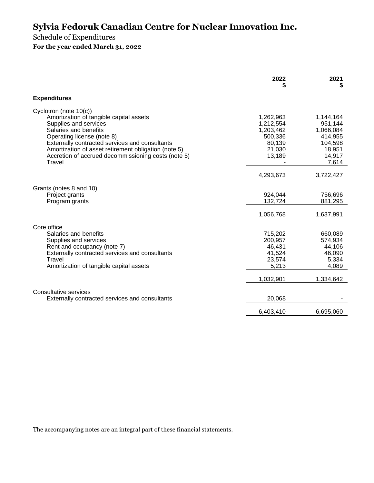# Schedule of Expenditures

For the year ended March 31, 2022

|                                                                                                                                                                                                                                                                                                                              | 2022                                                                         | 2021<br>\$                                                                           |
|------------------------------------------------------------------------------------------------------------------------------------------------------------------------------------------------------------------------------------------------------------------------------------------------------------------------------|------------------------------------------------------------------------------|--------------------------------------------------------------------------------------|
| <b>Expenditures</b>                                                                                                                                                                                                                                                                                                          |                                                                              |                                                                                      |
| Cyclotron (note 10(c))<br>Amortization of tangible capital assets<br>Supplies and services<br>Salaries and benefits<br>Operating license (note 8)<br>Externally contracted services and consultants<br>Amortization of asset retirement obligation (note 5)<br>Accretion of accrued decommissioning costs (note 5)<br>Travel | 1,262,963<br>1,212,554<br>1,203,462<br>500,336<br>80,139<br>21,030<br>13,189 | 1,144,164<br>951,144<br>1,066,084<br>414,955<br>104,598<br>18,951<br>14,917<br>7,614 |
|                                                                                                                                                                                                                                                                                                                              | 4,293,673                                                                    | 3,722,427                                                                            |
| Grants (notes 8 and 10)<br>Project grants<br>Program grants                                                                                                                                                                                                                                                                  | 924,044<br>132,724<br>1,056,768                                              | 756,696<br>881,295<br>1,637,991                                                      |
| Core office<br>Salaries and benefits<br>Supplies and services<br>Rent and occupancy (note 7)<br>Externally contracted services and consultants<br>Travel<br>Amortization of tangible capital assets                                                                                                                          | 715,202<br>200,957<br>46,431<br>41,524<br>23,574<br>5,213                    | 660,089<br>574,934<br>44,106<br>46,090<br>5,334<br>4,089                             |
|                                                                                                                                                                                                                                                                                                                              | 1,032,901                                                                    | 1,334,642                                                                            |
| Consultative services<br>Externally contracted services and consultants                                                                                                                                                                                                                                                      | 20,068                                                                       |                                                                                      |
|                                                                                                                                                                                                                                                                                                                              | 6,403,410                                                                    | 6,695,060                                                                            |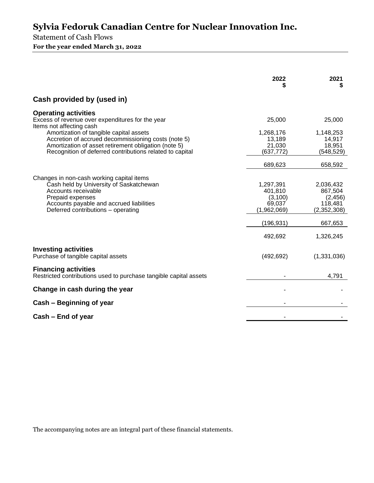# Statement of Cash Flows For the year ended March 31, 2022

|                                                                                                                                                                                                                    | 2022                                                                              | 2021                                                                               |
|--------------------------------------------------------------------------------------------------------------------------------------------------------------------------------------------------------------------|-----------------------------------------------------------------------------------|------------------------------------------------------------------------------------|
| Cash provided by (used in)                                                                                                                                                                                         |                                                                                   |                                                                                    |
| <b>Operating activities</b><br>Excess of revenue over expenditures for the year<br>Items not affecting cash                                                                                                        | 25,000                                                                            | 25,000                                                                             |
| Amortization of tangible capital assets<br>Accretion of accrued decommissioning costs (note 5)<br>Amortization of asset retirement obligation (note 5)<br>Recognition of deferred contributions related to capital | 1,268,176<br>13,189<br>21,030<br>(637, 772)                                       | 1,148,253<br>14,917<br>18,951<br>(548, 529)                                        |
|                                                                                                                                                                                                                    | 689,623                                                                           | 658,592                                                                            |
| Changes in non-cash working capital items<br>Cash held by University of Saskatchewan<br>Accounts receivable<br>Prepaid expenses<br>Accounts payable and accrued liabilities<br>Deferred contributions - operating  | 1,297,391<br>401,810<br>(3,100)<br>69,037<br>(1,962,069)<br>(196, 931)<br>492,692 | 2,036,432<br>867,504<br>(2, 456)<br>118,481<br>(2,352,308)<br>667,653<br>1,326,245 |
| <b>Investing activities</b><br>Purchase of tangible capital assets                                                                                                                                                 | (492, 692)                                                                        | (1,331,036)                                                                        |
| <b>Financing activities</b><br>Restricted contributions used to purchase tangible capital assets                                                                                                                   |                                                                                   | 4,791                                                                              |
| Change in cash during the year                                                                                                                                                                                     |                                                                                   |                                                                                    |
| Cash – Beginning of year                                                                                                                                                                                           |                                                                                   |                                                                                    |
| Cash – End of year                                                                                                                                                                                                 |                                                                                   |                                                                                    |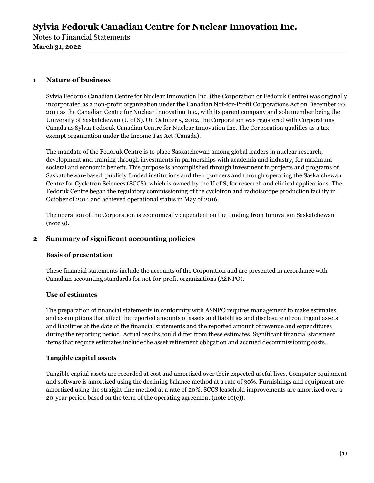# 1 Nature of business

Sylvia Fedoruk Canadian Centre for Nuclear Innovation Inc. (the Corporation or Fedoruk Centre) was originally incorporated as a non-profit organization under the Canadian Not-for-Profit Corporations Act on December 20, 2011 as the Canadian Centre for Nuclear Innovation Inc., with its parent company and sole member being the University of Saskatchewan (U of S). On October 5, 2012, the Corporation was registered with Corporations Canada as Sylvia Fedoruk Canadian Centre for Nuclear Innovation Inc. The Corporation qualifies as a tax exempt organization under the Income Tax Act (Canada).

The mandate of the Fedoruk Centre is to place Saskatchewan among global leaders in nuclear research, development and training through investments in partnerships with academia and industry, for maximum societal and economic benefit. This purpose is accomplished through investment in projects and programs of Saskatchewan-based, publicly funded institutions and their partners and through operating the Saskatchewan Centre for Cyclotron Sciences (SCCS), which is owned by the U of S, for research and clinical applications. The Fedoruk Centre began the regulatory commissioning of the cyclotron and radioisotope production facility in October of 2014 and achieved operational status in May of 2016.

The operation of the Corporation is economically dependent on the funding from Innovation Saskatchewan  $(note 9)$ .

# 2 Summary of significant accounting policies

# Basis of presentation

These financial statements include the accounts of the Corporation and are presented in accordance with Canadian accounting standards for not-for-profit organizations (ASNPO).

#### Use of estimates

The preparation of financial statements in conformity with ASNPO requires management to make estimates and assumptions that affect the reported amounts of assets and liabilities and disclosure of contingent assets and liabilities at the date of the financial statements and the reported amount of revenue and expenditures during the reporting period. Actual results could differ from these estimates. Significant financial statement items that require estimates include the asset retirement obligation and accrued decommissioning costs.

# Tangible capital assets

Tangible capital assets are recorded at cost and amortized over their expected useful lives. Computer equipment and software is amortized using the declining balance method at a rate of 30%. Furnishings and equipment are amortized using the straight-line method at a rate of 20%. SCCS leasehold improvements are amortized over a 20-year period based on the term of the operating agreement (note 10(c)).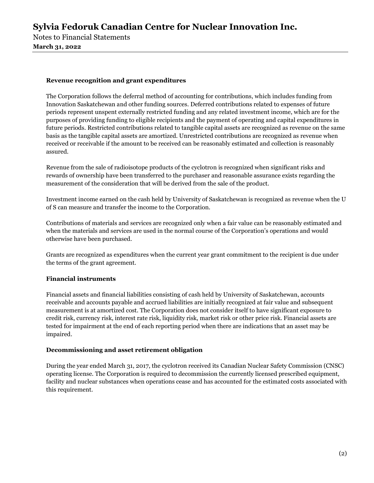#### Revenue recognition and grant expenditures

The Corporation follows the deferral method of accounting for contributions, which includes funding from Innovation Saskatchewan and other funding sources. Deferred contributions related to expenses of future periods represent unspent externally restricted funding and any related investment income, which are for the purposes of providing funding to eligible recipients and the payment of operating and capital expenditures in future periods. Restricted contributions related to tangible capital assets are recognized as revenue on the same basis as the tangible capital assets are amortized. Unrestricted contributions are recognized as revenue when received or receivable if the amount to be received can be reasonably estimated and collection is reasonably assured.

Revenue from the sale of radioisotope products of the cyclotron is recognized when significant risks and rewards of ownership have been transferred to the purchaser and reasonable assurance exists regarding the measurement of the consideration that will be derived from the sale of the product.

Investment income earned on the cash held by University of Saskatchewan is recognized as revenue when the U of S can measure and transfer the income to the Corporation.

Contributions of materials and services are recognized only when a fair value can be reasonably estimated and when the materials and services are used in the normal course of the Corporation's operations and would otherwise have been purchased.

Grants are recognized as expenditures when the current year grant commitment to the recipient is due under the terms of the grant agreement.

# Financial instruments

Financial assets and financial liabilities consisting of cash held by University of Saskatchewan, accounts receivable and accounts payable and accrued liabilities are initially recognized at fair value and subsequent measurement is at amortized cost. The Corporation does not consider itself to have significant exposure to credit risk, currency risk, interest rate risk, liquidity risk, market risk or other price risk. Financial assets are tested for impairment at the end of each reporting period when there are indications that an asset may be impaired.

#### Decommissioning and asset retirement obligation

During the year ended March 31, 2017, the cyclotron received its Canadian Nuclear Safety Commission (CNSC) operating license. The Corporation is required to decommission the currently licensed prescribed equipment, facility and nuclear substances when operations cease and has accounted for the estimated costs associated with this requirement.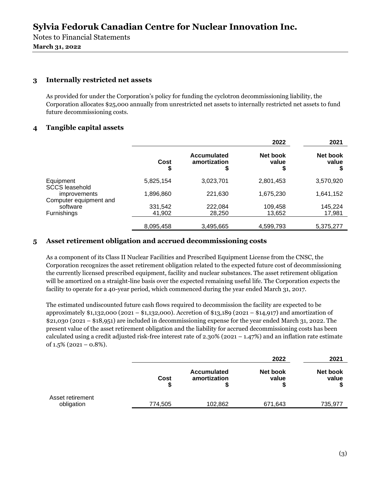### 3 Internally restricted net assets

As provided for under the Corporation's policy for funding the cyclotron decommissioning liability, the Corporation allocates \$25,000 annually from unrestricted net assets to internally restricted net assets to fund future decommissioning costs.

# 4 Tangible capital assets

|                                               |            |                                          | 2022                   | 2021              |
|-----------------------------------------------|------------|------------------------------------------|------------------------|-------------------|
|                                               | Cost<br>\$ | <b>Accumulated</b><br>amortization<br>\$ | Net book<br>value<br>⊅ | Net book<br>value |
| Equipment<br><b>SCCS leasehold</b>            | 5,825,154  | 3,023,701                                | 2,801,453              | 3,570,920         |
| <i>improvements</i><br>Computer equipment and | 1,896,860  | 221,630                                  | 1,675,230              | 1,641,152         |
| software                                      | 331,542    | 222,084                                  | 109,458                | 145,224           |
| <b>Furnishings</b>                            | 41,902     | 28,250                                   | 13,652                 | 17,981            |
|                                               | 8,095,458  | 3,495,665                                | 4,599,793              | 5,375,277         |

# 5 Asset retirement obligation and accrued decommissioning costs

As a component of its Class II Nuclear Facilities and Prescribed Equipment License from the CNSC, the Corporation recognizes the asset retirement obligation related to the expected future cost of decommissioning the currently licensed prescribed equipment, facility and nuclear substances. The asset retirement obligation will be amortized on a straight-line basis over the expected remaining useful life. The Corporation expects the facility to operate for a 40-year period, which commenced during the year ended March 31, 2017.

The estimated undiscounted future cash flows required to decommission the facility are expected to be approximately \$1,132,000 (2021 – \$1,132,000). Accretion of \$13,189 (2021 – \$14,917) and amortization of \$21,030 (2021 – \$18,951) are included in decommissioning expense for the year ended March 31, 2022. The present value of the asset retirement obligation and the liability for accrued decommissioning costs has been calculated using a credit adjusted risk-free interest rate of 2.30% (2021 – 1.47%) and an inflation rate estimate of  $1.5\%$  (2021 – 0.8%).

|                                |           | 2022                               |                   | 2021              |  |
|--------------------------------|-----------|------------------------------------|-------------------|-------------------|--|
|                                | Cost<br>S | <b>Accumulated</b><br>amortization | Net book<br>value | Net book<br>value |  |
| Asset retirement<br>obligation | 774,505   | 102,862                            | 671,643           | 735,977           |  |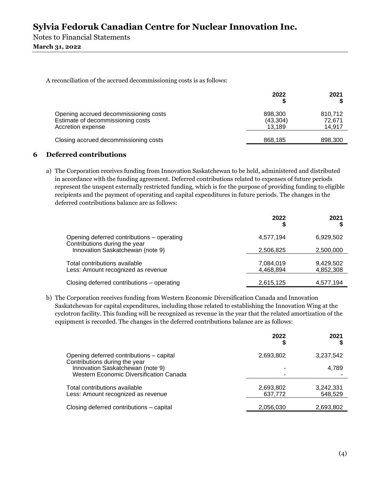A reconciliation of the accrued decommissioning costs is as follows:

|                                                                                                 | 2022                           | 2021                        |
|-------------------------------------------------------------------------------------------------|--------------------------------|-----------------------------|
| Opening accrued decommissioning costs<br>Estimate of decommissioning costs<br>Accretion expense | 898,300<br>(43, 304)<br>13,189 | 810,712<br>72,671<br>14,917 |
| Closing accrued decommissioning costs                                                           | 868,185                        | 898,300                     |

# 6 Deferred contributions

a) The Corporation receives funding from Innovation Saskatchewan to be held, administered and distributed in accordance with the funding agreement. Deferred contributions related to expenses of future periods represent the unspent externally restricted funding, which is for the purpose of providing funding to eligible recipients and the payment of operating and capital expenditures in future periods. The changes in the deferred contributions balance are as follows:

|                                                                             | 2022<br>\$             | 2021                   |
|-----------------------------------------------------------------------------|------------------------|------------------------|
| Opening deferred contributions – operating<br>Contributions during the year | 4,577,194              | 6,929,502              |
| Innovation Saskatchewan (note 9)                                            | 2,506,825              | 2,500,000              |
| Total contributions available<br>Less: Amount recognized as revenue         | 7,084,019<br>4,468,894 | 9,429,502<br>4,852,308 |
| Closing deferred contributions - operating                                  | 2,615,125              | 4,577,194              |

b) The Corporation receives funding from Western Economic Diversification Canada and Innovation Saskatchewan for capital expenditures, including those related to establishing the Innovation Wing at the cyclotron facility. This funding will be recognized as revenue in the year that the related amortization of the equipment is recorded. The changes in the deferred contributions balance are as follows:

|                                                                                    | 2022                 | 2021                 |
|------------------------------------------------------------------------------------|----------------------|----------------------|
| Opening deferred contributions – capital<br>Contributions during the year          | 2,693,802            | 3,237,542            |
| Innovation Saskatchewan (note 9)<br><b>Western Economic Diversification Canada</b> |                      | 4.789                |
| Total contributions available<br>Less: Amount recognized as revenue                | 2,693,802<br>637,772 | 3,242,331<br>548,529 |
| Closing deferred contributions - capital                                           | 2,056,030            | 2,693,802            |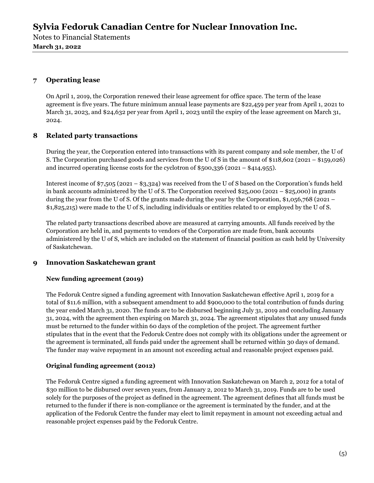# 7 Operating lease

On April 1, 2019, the Corporation renewed their lease agreement for office space. The term of the lease agreement is five years. The future minimum annual lease payments are \$22,459 per year from April 1, 2021 to March 31, 2023, and \$24,632 per year from April 1, 2023 until the expiry of the lease agreement on March 31, 2024.

# 8 Related party transactions

During the year, the Corporation entered into transactions with its parent company and sole member, the U of S. The Corporation purchased goods and services from the U of S in the amount of \$118,602 (2021 – \$159,026) and incurred operating license costs for the cyclotron of \$500,336 (2021 – \$414,955).

Interest income of \$7,505 (2021 – \$3,324) was received from the U of S based on the Corporation's funds held in bank accounts administered by the U of S. The Corporation received \$25,000 (2021 – \$25,000) in grants during the year from the U of S. Of the grants made during the year by the Corporation,  $$1,056,768$  (2021 – \$1,825,215) were made to the U of S, including individuals or entities related to or employed by the U of S.

The related party transactions described above are measured at carrying amounts. All funds received by the Corporation are held in, and payments to vendors of the Corporation are made from, bank accounts administered by the U of S, which are included on the statement of financial position as cash held by University of Saskatchewan.

# 9 Innovation Saskatchewan grant

# New funding agreement (2019)

The Fedoruk Centre signed a funding agreement with Innovation Saskatchewan effective April 1, 2019 for a total of \$11.6 million, with a subsequent amendment to add \$900,000 to the total contribution of funds during the year ended March 31, 2020. The funds are to be disbursed beginning July 31, 2019 and concluding January 31, 2024, with the agreement then expiring on March 31, 2024. The agreement stipulates that any unused funds must be returned to the funder within 60 days of the completion of the project. The agreement further stipulates that in the event that the Fedoruk Centre does not comply with its obligations under the agreement or the agreement is terminated, all funds paid under the agreement shall be returned within 30 days of demand. The funder may waive repayment in an amount not exceeding actual and reasonable project expenses paid.

# Original funding agreement (2012)

The Fedoruk Centre signed a funding agreement with Innovation Saskatchewan on March 2, 2012 for a total of \$30 million to be disbursed over seven years, from January 2, 2012 to March 31, 2019. Funds are to be used solely for the purposes of the project as defined in the agreement. The agreement defines that all funds must be returned to the funder if there is non-compliance or the agreement is terminated by the funder, and at the application of the Fedoruk Centre the funder may elect to limit repayment in amount not exceeding actual and reasonable project expenses paid by the Fedoruk Centre.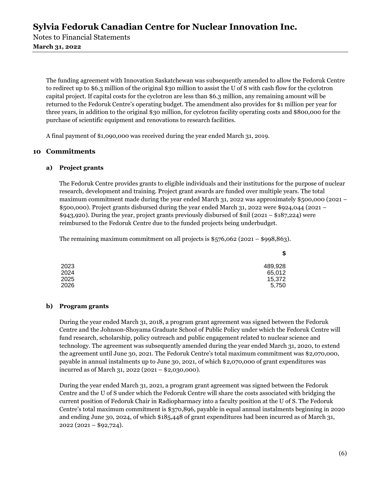> The funding agreement with Innovation Saskatchewan was subsequently amended to allow the Fedoruk Centre to redirect up to \$6.3 million of the original \$30 million to assist the U of S with cash flow for the cyclotron capital project. If capital costs for the cyclotron are less than \$6.3 million, any remaining amount will be returned to the Fedoruk Centre's operating budget. The amendment also provides for \$1 million per year for three years, in addition to the original \$30 million, for cyclotron facility operating costs and \$800,000 for the purchase of scientific equipment and renovations to research facilities.

A final payment of \$1,090,000 was received during the year ended March 31, 2019.

# 10 Commitments

#### a) Project grants

The Fedoruk Centre provides grants to eligible individuals and their institutions for the purpose of nuclear research, development and training. Project grant awards are funded over multiple years. The total maximum commitment made during the year ended March 31, 2022 was approximately \$500,000 (2021 –  $$500,000$ . Project grants disbursed during the year ended March 31, 2022 were \$924,044 (2021 –  $$943,920$ . During the year, project grants previously disbursed of  $$nil (2021 - $187,224)$  were reimbursed to the Fedoruk Centre due to the funded projects being underbudget.

**\$**

The remaining maximum commitment on all projects is  $$576,062$  (2021 – \$998,863).

| $\mathbf{r}$ |      |
|--------------|------|
| 489,928      | 2023 |
| 65,012       | 2024 |
| 15,372       | 2025 |
| 5,750        | 2026 |
|              |      |

#### b) Program grants

During the year ended March 31, 2018, a program grant agreement was signed between the Fedoruk Centre and the Johnson-Shoyama Graduate School of Public Policy under which the Fedoruk Centre will fund research, scholarship, policy outreach and public engagement related to nuclear science and technology. The agreement was subsequently amended during the year ended March 31, 2020, to extend the agreement until June 30, 2021. The Fedoruk Centre's total maximum commitment was \$2,070,000, payable in annual instalments up to June 30, 2021, of which \$2,070,000 of grant expenditures was incurred as of March 31, 2022 (2021 – \$2,030,000).

During the year ended March 31, 2021, a program grant agreement was signed between the Fedoruk Centre and the U of S under which the Fedoruk Centre will share the costs associated with bridging the current position of Fedoruk Chair in Radiopharmacy into a faculty position at the U of S. The Fedoruk Centre's total maximum commitment is \$370,896, payable in equal annual instalments beginning in 2020 and ending June 30, 2024, of which \$185,448 of grant expenditures had been incurred as of March 31, 2022 (2021 – \$92,724).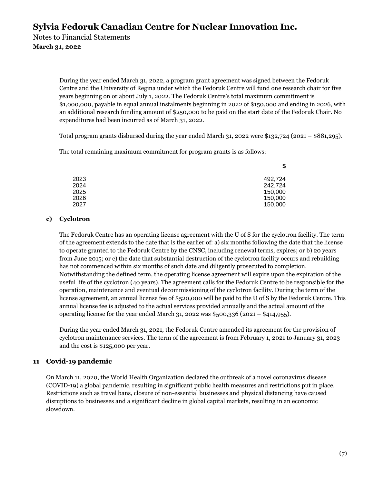> During the year ended March 31, 2022, a program grant agreement was signed between the Fedoruk Centre and the University of Regina under which the Fedoruk Centre will fund one research chair for five years beginning on or about July 1, 2022. The Fedoruk Centre's total maximum commitment is \$1,000,000, payable in equal annual instalments beginning in 2022 of \$150,000 and ending in 2026, with an additional research funding amount of \$250,000 to be paid on the start date of the Fedoruk Chair. No expenditures had been incurred as of March 31, 2022.

Total program grants disbursed during the year ended March 31, 2022 were \$132,724 (2021 – \$881,295).

The total remaining maximum commitment for program grants is as follows:

| \$      |
|---------|
| 492,724 |
| 242,724 |
| 150,000 |
| 150,000 |
| 150,000 |
|         |

### c) Cyclotron

The Fedoruk Centre has an operating license agreement with the U of S for the cyclotron facility. The term of the agreement extends to the date that is the earlier of: a) six months following the date that the license to operate granted to the Fedoruk Centre by the CNSC, including renewal terms, expires; or b) 20 years from June 2015; or c) the date that substantial destruction of the cyclotron facility occurs and rebuilding has not commenced within six months of such date and diligently prosecuted to completion. Notwithstanding the defined term, the operating license agreement will expire upon the expiration of the useful life of the cyclotron (40 years). The agreement calls for the Fedoruk Centre to be responsible for the operation, maintenance and eventual decommissioning of the cyclotron facility. During the term of the license agreement, an annual license fee of \$520,000 will be paid to the U of S by the Fedoruk Centre. This annual license fee is adjusted to the actual services provided annually and the actual amount of the operating license for the year ended March 31, 2022 was \$500,336 (2021 – \$414,955).

During the year ended March 31, 2021, the Fedoruk Centre amended its agreement for the provision of cyclotron maintenance services. The term of the agreement is from February 1, 2021 to January 31, 2023 and the cost is \$125,000 per year.

# 11 Covid-19 pandemic

On March 11, 2020, the World Health Organization declared the outbreak of a novel coronavirus disease (COVID-19) a global pandemic, resulting in significant public health measures and restrictions put in place. Restrictions such as travel bans, closure of non-essential businesses and physical distancing have caused disruptions to businesses and a significant decline in global capital markets, resulting in an economic slowdown.